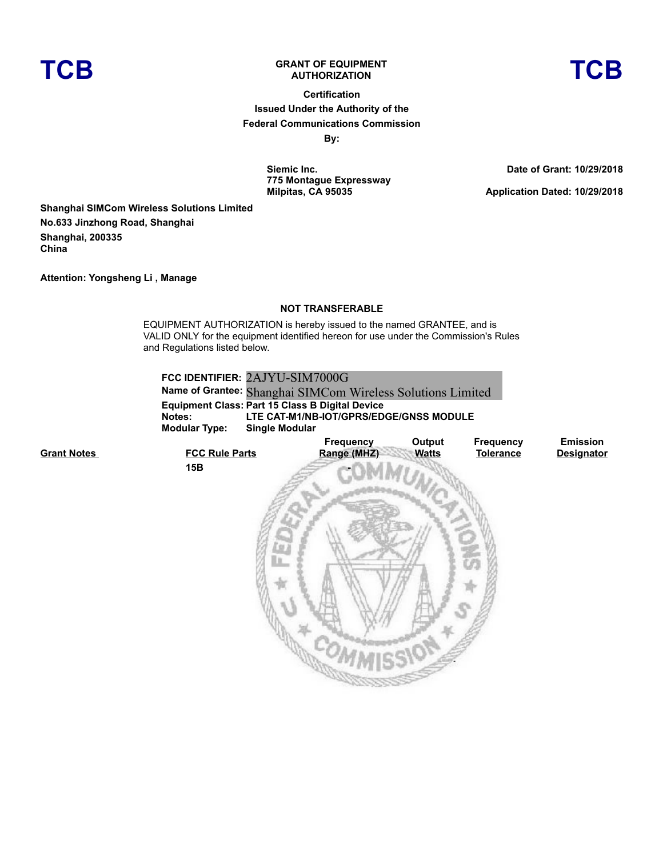

## **TCB GRANT OF EQUIPMENT**

# **AUTHORIZATION TCB**

**Certification Issued Under the Authority of the Federal Communications Commission By:**

> **Siemic Inc. 775 Montague Expressway Milpitas, CA 95035**

**Date of Grant: 10/29/2018**

**Application Dated: 10/29/2018**

**Shanghai SIMCom Wireless Solutions Limited No.633 Jinzhong Road, Shanghai Shanghai, 200335 China**

**Attention: Yongsheng Li , Manage**

### **NOT TRANSFERABLE**

EQUIPMENT AUTHORIZATION is hereby issued to the named GRANTEE, and is VALID ONLY for the equipment identified hereon for use under the Commission's Rules and Regulations listed below.

| FCC IDENTIFIER: 2AJYU-SIM7000G                         |              |                  |                                                             |  |  |  |  |
|--------------------------------------------------------|--------------|------------------|-------------------------------------------------------------|--|--|--|--|
|                                                        |              |                  |                                                             |  |  |  |  |
| <b>Equipment Class: Part 15 Class B Digital Device</b> |              |                  |                                                             |  |  |  |  |
| LTE CAT-M1/NB-IOT/GPRS/EDGE/GNSS MODULE                |              |                  |                                                             |  |  |  |  |
| <b>Single Modular</b>                                  |              |                  |                                                             |  |  |  |  |
| <b>Frequency</b>                                       | Output       | <b>Frequency</b> | <b>Emission</b>                                             |  |  |  |  |
| Range (MHZ)                                            | <b>Watts</b> | <b>Tolerance</b> | <b>Designator</b>                                           |  |  |  |  |
|                                                        |              |                  |                                                             |  |  |  |  |
|                                                        |              |                  | Name of Grantee: Shanghai SIMCom Wireless Solutions Limited |  |  |  |  |

**Grant Notes**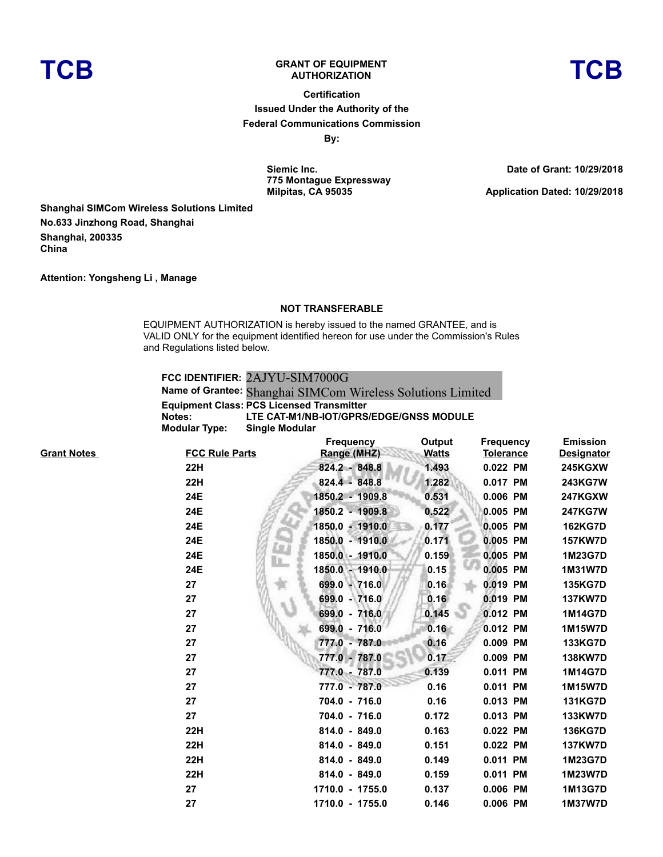

## **TCB GRANT OF EQUIPMENT**

**Certification Issued Under the Authority of the Federal Communications Commission By:**

> **Siemic Inc. 775 Montague Expressway Milpitas, CA 95035**

**Date of Grant: 10/29/2018**

**Application Dated: 10/29/2018**

**Shanghai SIMCom Wireless Solutions Limited No.633 Jinzhong Road, Shanghai Shanghai, 200335 China**

**Attention: Yongsheng Li , Manage**

#### **NOT TRANSFERABLE**

EQUIPMENT AUTHORIZATION is hereby issued to the named GRANTEE, and is VALID ONLY for the equipment identified hereon for use under the Commission's Rules and Regulations listed below.

**FCC IDENTIFIER:** 2AJYU-SIM7000G **Name of Grantee:** Shanghai SIMCom Wireless Solutions Limited **Equipment Class: PCS Licensed Transmitter Notes: LTE CAT-M1/NB-IOT/GPRS/EDGE/GNSS MODULE Modular Type: Single Modular**

|       |                       | <b>Frequency</b> | Output       | <b>Frequency</b> | <b>Emission</b>   |
|-------|-----------------------|------------------|--------------|------------------|-------------------|
| Notes | <b>FCC Rule Parts</b> | Range (MHZ)      | <b>Watts</b> | <b>Tolerance</b> | <b>Designator</b> |
|       | 22H                   | 824.2 - 848.8    | 1.493        | 0.022 PM         | <b>245KGXW</b>    |
|       | 22H                   | 824.4 - 848.8    | 1.282        | 0.017 PM         | 243KG7W           |
|       | 24E                   | 1850.2 - 1909.8  | 0.531        | 0.006 PM         | <b>247KGXW</b>    |
|       | 24E                   | 1850.2 - 1909.8  | 0.522        | 0.005 PM         | <b>247KG7W</b>    |
|       | 24E                   | 1850.0 - 1910.0  | 0.177        | 0.005 PM         | <b>162KG7D</b>    |
|       | 24E                   | 1850.0 - 1910.0  | 0.171        | 0.005 PM         | <b>157KW7D</b>    |
|       | 24E                   | 1850.0 - 1910.0  | 0.159        | 0.005 PM         | 1M23G7D           |
|       | 24E                   | 1850.0 - 1910.0  | 0.15         | 0.005 PM         | <b>1M31W7D</b>    |
|       | 27                    | 699.0 - 716.0    | 0.16         | 0.019 PM         | <b>135KG7D</b>    |
|       | 27                    | 699.0 - 716.0    | 0.16         | 0.019 PM         | <b>137KW7D</b>    |
|       | 27                    | 699.0 - 716.0    | 0.145        | 0.012 PM         | 1M14G7D           |
|       | 27                    | 699.0 - 716.0    | 0.16         | 0.012 PM         | <b>1M15W7D</b>    |
|       | 27                    | 777.0 - 787.0    | 0.16         | 0.009 PM         | <b>133KG7D</b>    |
|       | 27                    | 777.0 - 787.0    | 0.17         | 0.009 PM         | <b>138KW7D</b>    |
|       | 27                    | 777.0 - 787.0    | 0.139        | 0.011 PM         | 1M14G7D           |
|       | 27                    | 777.0 - 787.0    | 0.16         | 0.011 PM         | 1M15W7D           |
|       | 27                    | 704.0 - 716.0    | 0.16         | 0.013 PM         | <b>131KG7D</b>    |
|       | 27                    | 704.0 - 716.0    | 0.172        | 0.013 PM         | <b>133KW7D</b>    |
|       | 22H                   | 814.0 - 849.0    | 0.163        | 0.022 PM         | <b>136KG7D</b>    |
|       | 22H                   | 814.0 - 849.0    | 0.151        | 0.022 PM         | <b>137KW7D</b>    |
|       | 22H                   | 814.0 - 849.0    | 0.149        | 0.011 PM         | 1M23G7D           |
|       | <b>22H</b>            | $814.0 - 849.0$  | 0.159        | 0.011 PM         | 1M23W7D           |
|       | 27                    | 1710.0 - 1755.0  | 0.137        | 0.006 PM         | 1M13G7D           |
|       | 27                    | 1710.0 - 1755.0  | 0.146        | 0.006 PM         | 1M37W7D           |

**Grant I**